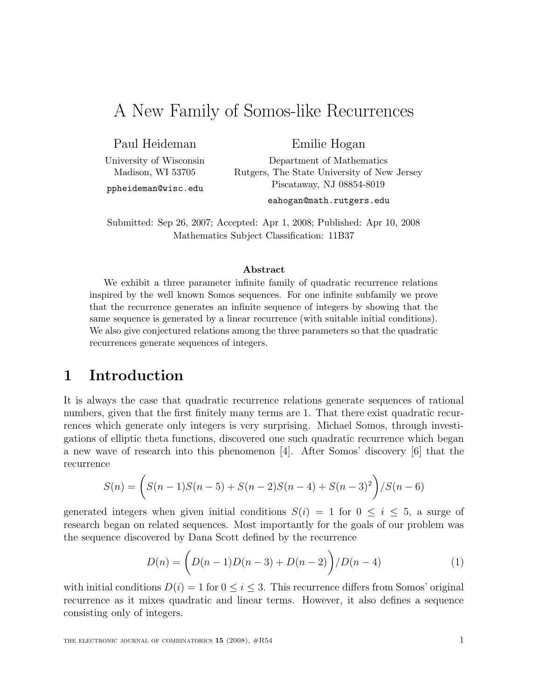# A New Family of Somos-like Recurrences

Paul Heideman

Emilie Hogan Department of Mathematics

University of Wisconsin Madison, WI 53705

ppheideman@wisc.edu

Rutgers, The State University of New Jersey Piscataway, NJ 08854-8019

eahogan@math.rutgers.edu

Submitted: Sep 26, 2007; Accepted: Apr 1, 2008; Published: Apr 10, 2008 Mathematics Subject Classification: 11B37

#### Abstract

We exhibit a three parameter infinite family of quadratic recurrence relations inspired by the well known Somos sequences. For one infinite subfamily we prove that the recurrence generates an infinite sequence of integers by showing that the same sequence is generated by a linear recurrence (with suitable initial conditions). We also give conjectured relations among the three parameters so that the quadratic recurrences generate sequences of integers.

### 1 Introduction

It is always the case that quadratic recurrence relations generate sequences of rational numbers, given that the first finitely many terms are 1. That there exist quadratic recurrences which generate only integers is very surprising. Michael Somos, through investigations of elliptic theta functions, discovered one such quadratic recurrence which began a new wave of research into this phenomenon [4]. After Somos' discovery [6] that the recurrence

$$
S(n) = \left( S(n-1)S(n-5) + S(n-2)S(n-4) + S(n-3)^{2} \right) / S(n-6)
$$

generated integers when given initial conditions  $S(i) = 1$  for  $0 \le i \le 5$ , a surge of research began on related sequences. Most importantly for the goals of our problem was the sequence discovered by Dana Scott defined by the recurrence

$$
D(n) = \left( D(n-1)D(n-3) + D(n-2) \right) / D(n-4)
$$
 (1)

with initial conditions  $D(i) = 1$  for  $0 \le i \le 3$ . This recurrence differs from Somos' original recurrence as it mixes quadratic and linear terms. However, it also defines a sequence consisting only of integers.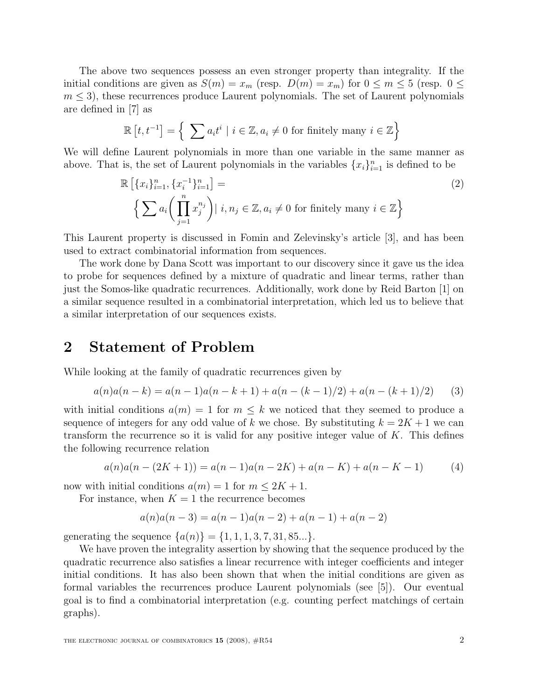The above two sequences possess an even stronger property than integrality. If the initial conditions are given as  $S(m) = x_m$  (resp.  $D(m) = x_m$ ) for  $0 \le m \le 5$  (resp.  $0 \le m$ )  $m \leq 3$ , these recurrences produce Laurent polynomials. The set of Laurent polynomials are defined in [7] as

$$
\mathbb{R}[t, t^{-1}] = \left\{ \sum a_i t^i \mid i \in \mathbb{Z}, a_i \neq 0 \text{ for finitely many } i \in \mathbb{Z} \right\}
$$

We will define Laurent polynomials in more than one variable in the same manner as above. That is, the set of Laurent polynomials in the variables  $\{x_i\}_{i=1}^n$  is defined to be

$$
\mathbb{R} \left[ \{x_i\}_{i=1}^n, \{x_i^{-1}\}_{i=1}^n \right] =
$$
\n
$$
\left\{ \sum a_i \left( \prod_{j=1}^n x_j^{n_j} \right) \mid i, n_j \in \mathbb{Z}, a_i \neq 0 \text{ for finitely many } i \in \mathbb{Z} \right\}
$$
\n
$$
(2)
$$

This Laurent property is discussed in Fomin and Zelevinsky's article [3], and has been used to extract combinatorial information from sequences.

The work done by Dana Scott was important to our discovery since it gave us the idea to probe for sequences defined by a mixture of quadratic and linear terms, rather than just the Somos-like quadratic recurrences. Additionally, work done by Reid Barton [1] on a similar sequence resulted in a combinatorial interpretation, which led us to believe that a similar interpretation of our sequences exists.

### 2 Statement of Problem

While looking at the family of quadratic recurrences given by

$$
a(n)a(n-k) = a(n-1)a(n-k+1) + a(n-(k-1)/2) + a(n-(k+1)/2)
$$
 (3)

with initial conditions  $a(m) = 1$  for  $m \leq k$  we noticed that they seemed to produce a sequence of integers for any odd value of k we chose. By substituting  $k = 2K + 1$  we can transform the recurrence so it is valid for any positive integer value of  $K$ . This defines the following recurrence relation

$$
a(n)a(n - (2K + 1)) = a(n - 1)a(n - 2K) + a(n - K) + a(n - K - 1)
$$
\n(4)

now with initial conditions  $a(m) = 1$  for  $m \leq 2K + 1$ .

For instance, when  $K = 1$  the recurrence becomes

$$
a(n)a(n-3) = a(n-1)a(n-2) + a(n-1) + a(n-2)
$$

generating the sequence  $\{a(n)\} = \{1, 1, 1, 3, 7, 31, 85...\}$ .

We have proven the integrality assertion by showing that the sequence produced by the quadratic recurrence also satisfies a linear recurrence with integer coefficients and integer initial conditions. It has also been shown that when the initial conditions are given as formal variables the recurrences produce Laurent polynomials (see [5]). Our eventual goal is to find a combinatorial interpretation (e.g. counting perfect matchings of certain graphs).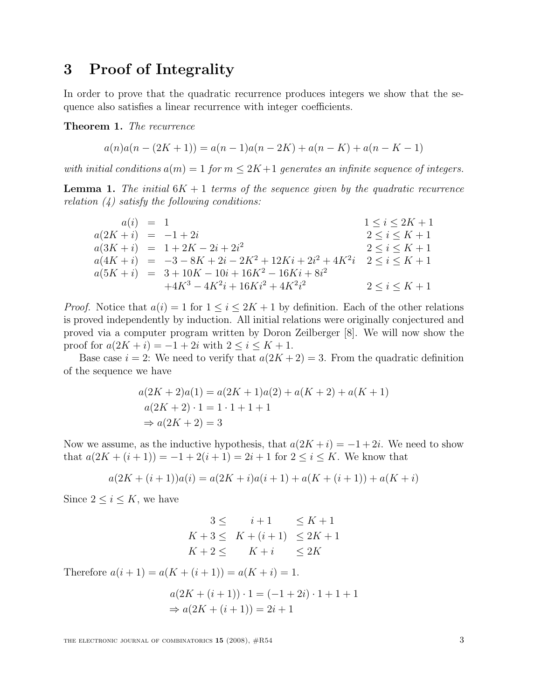### 3 Proof of Integrality

In order to prove that the quadratic recurrence produces integers we show that the sequence also satisfies a linear recurrence with integer coefficients.

Theorem 1. The recurrence

$$
a(n)a(n - (2K + 1)) = a(n - 1)a(n - 2K) + a(n - K) + a(n - K - 1)
$$

with initial conditions  $a(m) = 1$  for  $m \leq 2K+1$  generates an infinite sequence of integers.

**Lemma 1.** The initial  $6K + 1$  terms of the sequence given by the quadratic recurrence relation  $\left(4\right)$  satisfy the following conditions:

$$
a(i) = 1
$$
  
\n
$$
a(2K + i) = -1 + 2i
$$
  
\n
$$
a(3K + i) = 1 + 2K - 2i + 2i^{2}
$$
  
\n
$$
a(4K + i) = -3 - 8K + 2i - 2K^{2} + 12Ki + 2i^{2} + 4K^{2}i
$$
  
\n
$$
a(5K + i) = 3 + 10K - 10i + 16K^{2} - 16Ki + 8i^{2}
$$
  
\n
$$
+4K^{3} - 4K^{2}i + 16Ki^{2} + 4K^{2}i^{2}
$$
  
\n
$$
2 \leq i \leq K + 1
$$
  
\n
$$
2 \leq i \leq K + 1
$$
  
\n
$$
2 \leq i \leq K + 1
$$

*Proof.* Notice that  $a(i) = 1$  for  $1 \leq i \leq 2K + 1$  by definition. Each of the other relations is proved independently by induction. All initial relations were originally conjectured and proved via a computer program written by Doron Zeilberger [8]. We will now show the proof for  $a(2K + i) = -1 + 2i$  with  $2 \le i \le K + 1$ .

Base case  $i = 2$ : We need to verify that  $a(2K + 2) = 3$ . From the quadratic definition of the sequence we have

$$
a(2K + 2)a(1) = a(2K + 1)a(2) + a(K + 2) + a(K + 1)
$$
  
\n
$$
a(2K + 2) \cdot 1 = 1 \cdot 1 + 1 + 1
$$
  
\n
$$
\Rightarrow a(2K + 2) = 3
$$

Now we assume, as the inductive hypothesis, that  $a(2K + i) = -1 + 2i$ . We need to show that  $a(2K + (i + 1)) = -1 + 2(i + 1) = 2i + 1$  for  $2 \le i \le K$ . We know that

$$
a(2K + (i + 1))a(i) = a(2K + i)a(i + 1) + a(K + (i + 1)) + a(K + i)
$$

Since  $2 \leq i \leq K$ , we have

$$
3 \leq i+1 \leq K+1
$$
  
\n
$$
K+3 \leq K+(i+1) \leq 2K+1
$$
  
\n
$$
K+2 \leq K+i \leq 2K
$$

Therefore  $a(i + 1) = a(K + (i + 1)) = a(K + i) = 1$ .

$$
a(2K + (i + 1)) \cdot 1 = (-1 + 2i) \cdot 1 + 1 + 1
$$
  
\n
$$
\Rightarrow a(2K + (i + 1)) = 2i + 1
$$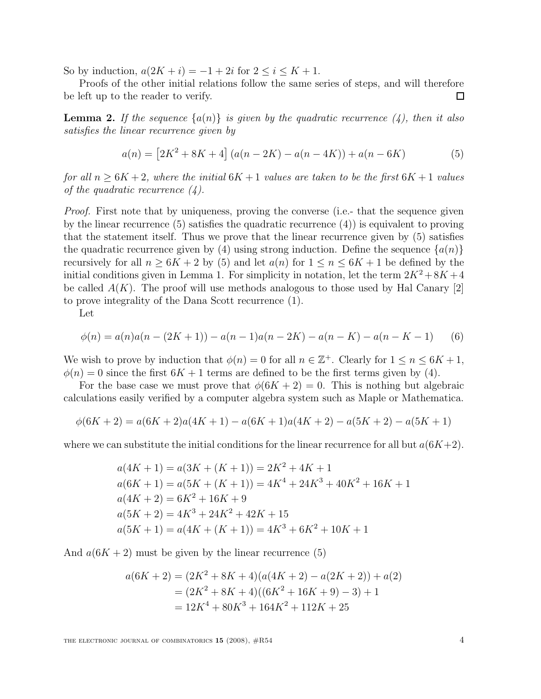So by induction,  $a(2K + i) = -1 + 2i$  for  $2 \leq i \leq K + 1$ .

Proofs of the other initial relations follow the same series of steps, and will therefore be left up to the reader to verify.  $\Box$ 

**Lemma 2.** If the sequence  $\{a(n)\}\$ is given by the quadratic recurrence (4), then it also satisfies the linear recurrence given by

$$
a(n) = [2K2 + 8K + 4] (a(n - 2K) - a(n - 4K)) + a(n - 6K)
$$
 (5)

for all  $n \geq 6K + 2$ , where the initial  $6K + 1$  values are taken to be the first  $6K + 1$  values of the quadratic recurrence  $(4)$ .

Proof. First note that by uniqueness, proving the converse (i.e.- that the sequence given by the linear recurrence (5) satisfies the quadratic recurrence (4)) is equivalent to proving that the statement itself. Thus we prove that the linear recurrence given by (5) satisfies the quadratic recurrence given by (4) using strong induction. Define the sequence  $\{a(n)\}$ recursively for all  $n \geq 6K + 2$  by (5) and let  $a(n)$  for  $1 \leq n \leq 6K + 1$  be defined by the initial conditions given in Lemma 1. For simplicity in notation, let the term  $2K^2 + 8K + 4$ be called  $A(K)$ . The proof will use methods analogous to those used by Hal Canary [2] to prove integrality of the Dana Scott recurrence (1).

Let

$$
\phi(n) = a(n)a(n - (2K + 1)) - a(n - 1)a(n - 2K) - a(n - K) - a(n - K - 1)
$$
 (6)

We wish to prove by induction that  $\phi(n) = 0$  for all  $n \in \mathbb{Z}^+$ . Clearly for  $1 \leq n \leq 6K + 1$ ,  $\phi(n) = 0$  since the first  $6K + 1$  terms are defined to be the first terms given by (4).

For the base case we must prove that  $\phi(6K + 2) = 0$ . This is nothing but algebraic calculations easily verified by a computer algebra system such as Maple or Mathematica.

$$
\phi(6K+2) = a(6K+2)a(4K+1) - a(6K+1)a(4K+2) - a(5K+2) - a(5K+1)
$$

where we can substitute the initial conditions for the linear recurrence for all but  $a(6K+2)$ .

$$
a(4K + 1) = a(3K + (K + 1)) = 2K^2 + 4K + 1
$$
  
\n
$$
a(6K + 1) = a(5K + (K + 1)) = 4K^4 + 24K^3 + 40K^2 + 16K + 1
$$
  
\n
$$
a(4K + 2) = 6K^2 + 16K + 9
$$
  
\n
$$
a(5K + 2) = 4K^3 + 24K^2 + 42K + 15
$$
  
\n
$$
a(5K + 1) = a(4K + (K + 1)) = 4K^3 + 6K^2 + 10K + 1
$$

And  $a(6K + 2)$  must be given by the linear recurrence (5)

$$
a(6K + 2) = (2K2 + 8K + 4)(a(4K + 2) - a(2K + 2)) + a(2)
$$
  
=  $(2K2 + 8K + 4)((6K2 + 16K + 9) - 3) + 1$   
=  $12K4 + 80K3 + 164K2 + 112K + 25$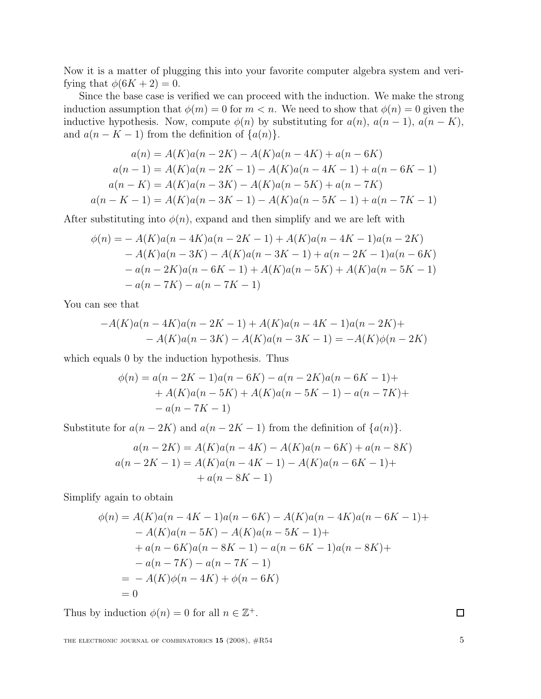Now it is a matter of plugging this into your favorite computer algebra system and verifying that  $\phi(6K + 2) = 0$ .

Since the base case is verified we can proceed with the induction. We make the strong induction assumption that  $\phi(m) = 0$  for  $m < n$ . We need to show that  $\phi(n) = 0$  given the inductive hypothesis. Now, compute  $\phi(n)$  by substituting for  $a(n)$ ,  $a(n-1)$ ,  $a(n-K)$ , and  $a(n - K - 1)$  from the definition of  $\{a(n)\}.$ 

$$
a(n) = A(K)a(n - 2K) - A(K)a(n - 4K) + a(n - 6K)
$$
  
\n
$$
a(n - 1) = A(K)a(n - 2K - 1) - A(K)a(n - 4K - 1) + a(n - 6K - 1)
$$
  
\n
$$
a(n - K) = A(K)a(n - 3K) - A(K)a(n - 5K) + a(n - 7K)
$$
  
\n
$$
a(n - K - 1) = A(K)a(n - 3K - 1) - A(K)a(n - 5K - 1) + a(n - 7K - 1)
$$

After substituting into  $\phi(n)$ , expand and then simplify and we are left with

$$
\phi(n) = -A(K)a(n - 4K)a(n - 2K - 1) + A(K)a(n - 4K - 1)a(n - 2K) \n- A(K)a(n - 3K) - A(K)a(n - 3K - 1) + a(n - 2K - 1)a(n - 6K) \n- a(n - 2K)a(n - 6K - 1) + A(K)a(n - 5K) + A(K)a(n - 5K - 1) \n- a(n - 7K) - a(n - 7K - 1)
$$

You can see that

$$
-A(K)a(n-4K)a(n-2K-1) + A(K)a(n-4K-1)a(n-2K) +-A(K)a(n-3K) - A(K)a(n-3K-1) = -A(K)\phi(n-2K)
$$

which equals 0 by the induction hypothesis. Thus

$$
\phi(n) = a(n - 2K - 1)a(n - 6K) - a(n - 2K)a(n - 6K - 1) ++ A(K)a(n - 5K) + A(K)a(n - 5K - 1) - a(n - 7K) +- a(n - 7K - 1)
$$

Substitute for  $a(n-2K)$  and  $a(n-2K-1)$  from the definition of  $\{a(n)\}.$ 

$$
a(n-2K) = A(K)a(n-4K) - A(K)a(n-6K) + a(n-8K)
$$
  

$$
a(n-2K-1) = A(K)a(n-4K-1) - A(K)a(n-6K-1) +
$$
  

$$
+ a(n-8K-1)
$$

Simplify again to obtain

$$
\phi(n) = A(K)a(n - 4K - 1)a(n - 6K) - A(K)a(n - 4K)a(n - 6K - 1) +- A(K)a(n - 5K) - A(K)a(n - 5K - 1) ++ a(n - 6K)a(n - 8K - 1) - a(n - 6K - 1)a(n - 8K) +- a(n - 7K) - a(n - 7K - 1)= - A(K)\phi(n - 4K) + \phi(n - 6K)= 0
$$

Thus by induction  $\phi(n) = 0$  for all  $n \in \mathbb{Z}^+$ .

 $\Box$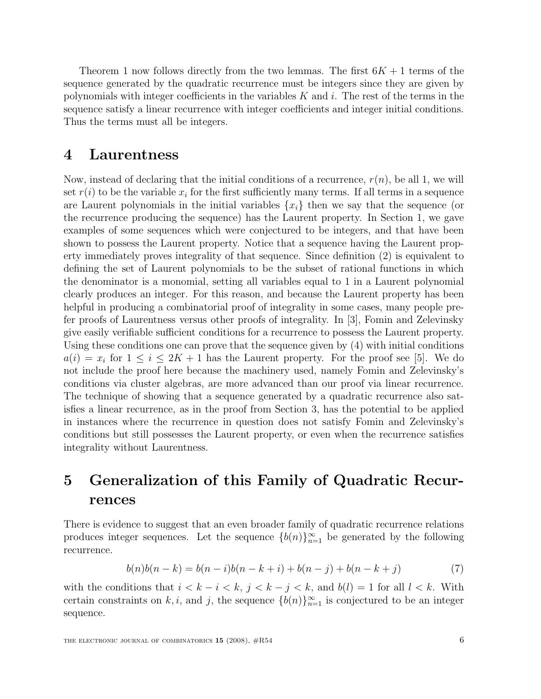Theorem 1 now follows directly from the two lemmas. The first  $6K + 1$  terms of the sequence generated by the quadratic recurrence must be integers since they are given by polynomials with integer coefficients in the variables  $K$  and  $i$ . The rest of the terms in the sequence satisfy a linear recurrence with integer coefficients and integer initial conditions. Thus the terms must all be integers.

#### 4 Laurentness

Now, instead of declaring that the initial conditions of a recurrence,  $r(n)$ , be all 1, we will set  $r(i)$  to be the variable  $x_i$  for the first sufficiently many terms. If all terms in a sequence are Laurent polynomials in the initial variables  $\{x_i\}$  then we say that the sequence (or the recurrence producing the sequence) has the Laurent property. In Section 1, we gave examples of some sequences which were conjectured to be integers, and that have been shown to possess the Laurent property. Notice that a sequence having the Laurent property immediately proves integrality of that sequence. Since definition (2) is equivalent to defining the set of Laurent polynomials to be the subset of rational functions in which the denominator is a monomial, setting all variables equal to 1 in a Laurent polynomial clearly produces an integer. For this reason, and because the Laurent property has been helpful in producing a combinatorial proof of integrality in some cases, many people prefer proofs of Laurentness versus other proofs of integrality. In [3], Fomin and Zelevinsky give easily verifiable sufficient conditions for a recurrence to possess the Laurent property. Using these conditions one can prove that the sequence given by (4) with initial conditions  $a(i) = x_i$  for  $1 \le i \le 2K + 1$  has the Laurent property. For the proof see [5]. We do not include the proof here because the machinery used, namely Fomin and Zelevinsky's conditions via cluster algebras, are more advanced than our proof via linear recurrence. The technique of showing that a sequence generated by a quadratic recurrence also satisfies a linear recurrence, as in the proof from Section 3, has the potential to be applied in instances where the recurrence in question does not satisfy Fomin and Zelevinsky's conditions but still possesses the Laurent property, or even when the recurrence satisfies integrality without Laurentness.

## 5 Generalization of this Family of Quadratic Recurrences

There is evidence to suggest that an even broader family of quadratic recurrence relations produces integer sequences. Let the sequence  ${b(n)}_{n=1}^{\infty}$  be generated by the following recurrence.

$$
b(n)b(n-k) = b(n-i)b(n-k+i) + b(n-j) + b(n-k+j)
$$
\n(7)

with the conditions that  $i < k - i < k$ ,  $j < k - j < k$ , and  $b(l) = 1$  for all  $l < k$ . With certain constraints on k, i, and j, the sequence  $\{b(n)\}_{n=1}^{\infty}$  is conjectured to be an integer sequence.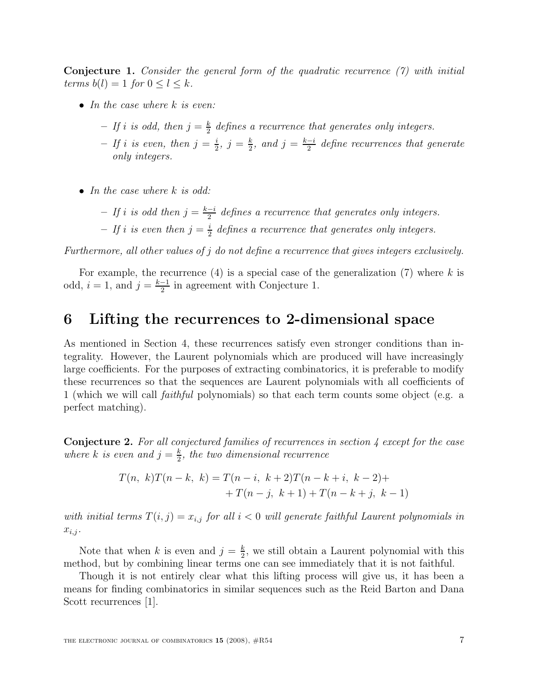**Conjecture 1.** Consider the general form of the quadratic recurrence  $(7)$  with initial terms  $b(l) = 1$  for  $0 \leq l \leq k$ .

- In the case where  $k$  is even:
	- If i is odd, then  $j = \frac{k}{2}$  $\frac{k}{2}$  defines a recurrence that generates only integers.
	- If i is even, then  $j=\frac{i}{2}$  $\frac{i}{2}, j = \frac{k}{2}$  $\frac{k}{2}$ , and  $j = \frac{k-i}{2}$  $\frac{-i}{2}$  define recurrences that generate only integers.
- In the case where  $k$  is odd:
	- If i is odd then  $j = \frac{k-i}{2}$  $\frac{-i}{2}$  defines a recurrence that generates only integers.
	- If i is even then  $j=\frac{i}{2}$  $\frac{1}{2}$  defines a recurrence that generates only integers.

Furthermore, all other values of j do not define a recurrence that gives integers exclusively.

For example, the recurrence  $(4)$  is a special case of the generalization  $(7)$  where k is odd,  $i = 1$ , and  $j = \frac{k-1}{2}$  $\frac{-1}{2}$  in agreement with Conjecture 1.

### 6 Lifting the recurrences to 2-dimensional space

As mentioned in Section 4, these recurrences satisfy even stronger conditions than integrality. However, the Laurent polynomials which are produced will have increasingly large coefficients. For the purposes of extracting combinatorics, it is preferable to modify these recurrences so that the sequences are Laurent polynomials with all coefficients of 1 (which we will call faithful polynomials) so that each term counts some object (e.g. a perfect matching).

Conjecture 2. For all conjectured families of recurrences in section 4 except for the case where k is even and  $j = \frac{k}{2}$  $\frac{k}{2}$ , the two dimensional recurrence

$$
T(n, k)T(n-k, k) = T(n-i, k+2)T(n-k+i, k-2) ++T(n-j, k+1) + T(n-k+j, k-1)
$$

with initial terms  $T(i, j) = x_{i,j}$  for all  $i < 0$  will generate faithful Laurent polynomials in  $x_{i,j}$ .

Note that when k is even and  $j = \frac{k}{2}$  $\frac{k}{2}$ , we still obtain a Laurent polynomial with this method, but by combining linear terms one can see immediately that it is not faithful.

Though it is not entirely clear what this lifting process will give us, it has been a means for finding combinatorics in similar sequences such as the Reid Barton and Dana Scott recurrences [1].